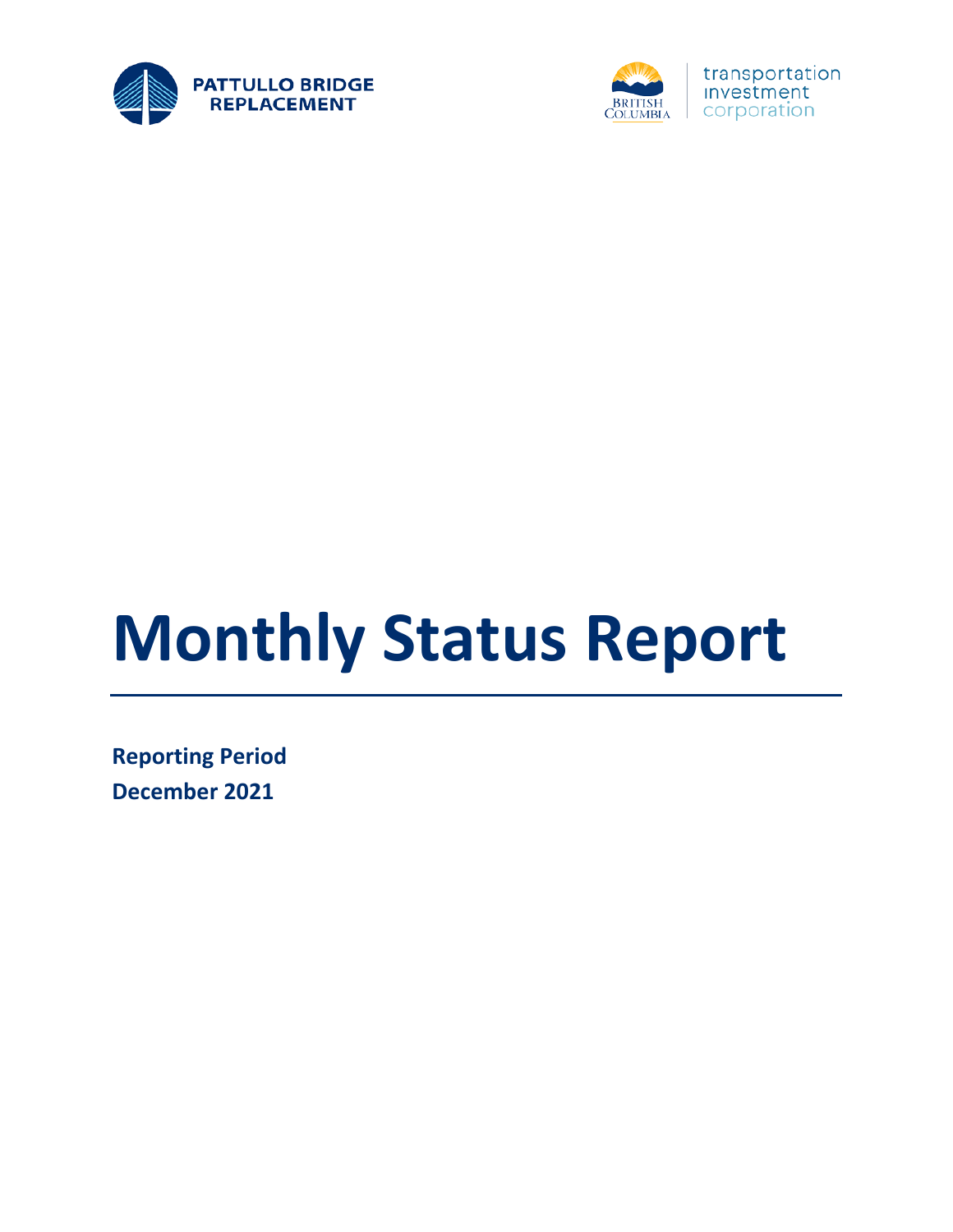



# **Monthly Status Report**

**Reporting Period December 2021**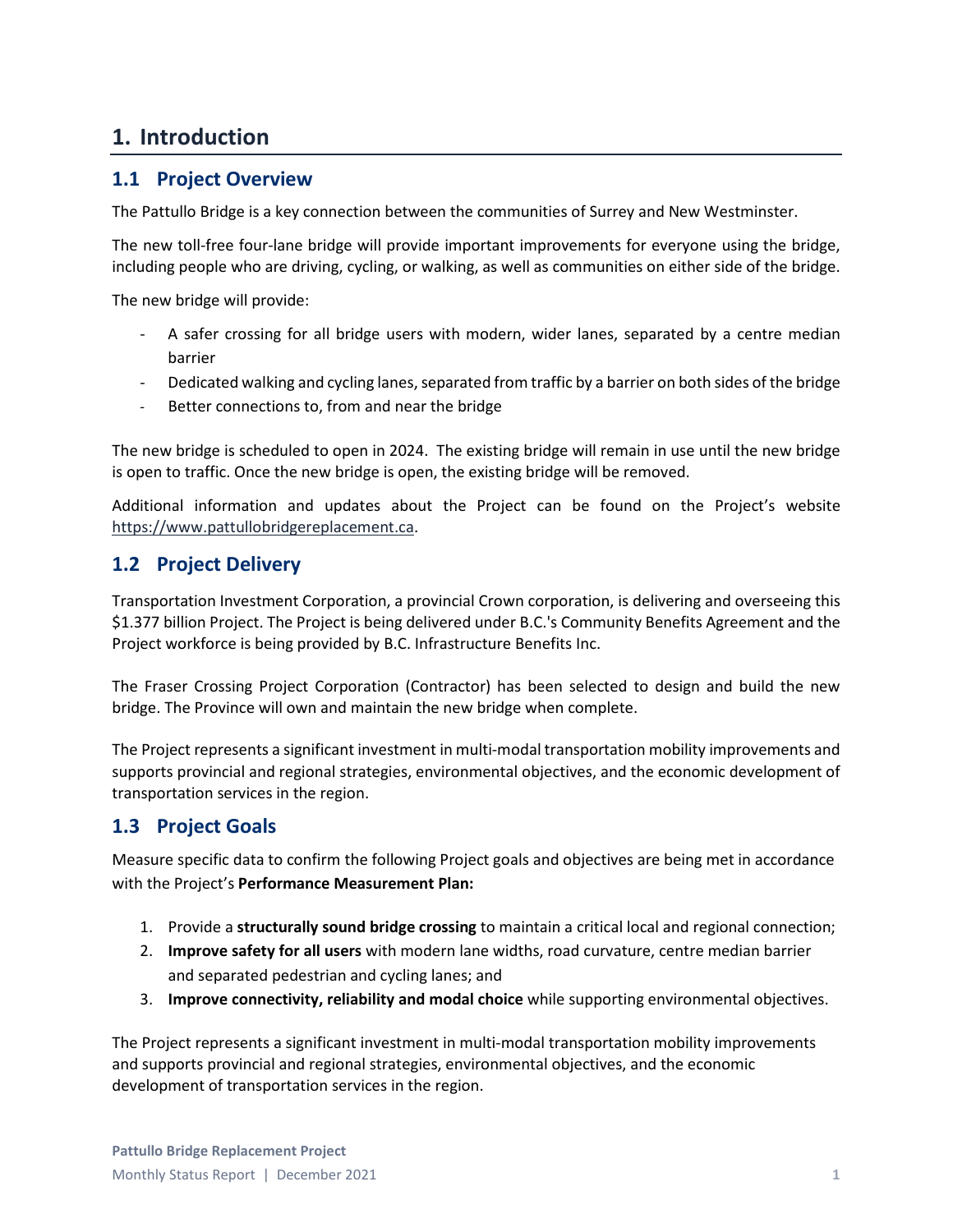### **1. Introduction**

#### **1.1 Project Overview**

The Pattullo Bridge is a key connection between the communities of Surrey and New Westminster.

The new toll-free four-lane bridge will provide important improvements for everyone using the bridge, including people who are driving, cycling, or walking, as well as communities on either side of the bridge.

The new bridge will provide:

- A safer crossing for all bridge users with modern, wider lanes, separated by a centre median barrier
- Dedicated walking and cycling lanes, separated from traffic by a barrier on both sides of the bridge
- Better connections to, from and near the bridge

The new bridge is scheduled to open in 2024. The existing bridge will remain in use until the new bridge is open to traffic. Once the new bridge is open, the existing bridge will be removed.

Additional information and updates about the Project can be found on the Project's website [https://www.pattullobridgereplacement.ca.](https://www.pattullobridgereplacement.ca/)

#### **1.2 Project Delivery**

Transportation Investment Corporation, a provincial Crown corporation, is delivering and overseeing this \$1.377 billion Project. The Project is being delivered under B.C.'s Community Benefits Agreement and the Project workforce is being provided by B.C. Infrastructure Benefits Inc.

The Fraser Crossing Project Corporation (Contractor) has been selected to design and build the new bridge. The Province will own and maintain the new bridge when complete.

The Project represents a significant investment in multi-modal transportation mobility improvements and supports provincial and regional strategies, environmental objectives, and the economic development of transportation services in the region.

#### **1.3 Project Goals**

Measure specific data to confirm the following Project goals and objectives are being met in accordance with the Project's **Performance Measurement Plan:**

- 1. Provide a **structurally sound bridge crossing** to maintain a critical local and regional connection;
- 2. **Improve safety for all users** with modern lane widths, road curvature, centre median barrier and separated pedestrian and cycling lanes; and
- 3. **Improve connectivity, reliability and modal choice** while supporting environmental objectives.

The Project represents a significant investment in multi-modal transportation mobility improvements and supports provincial and regional strategies, environmental objectives, and the economic development of transportation services in the region.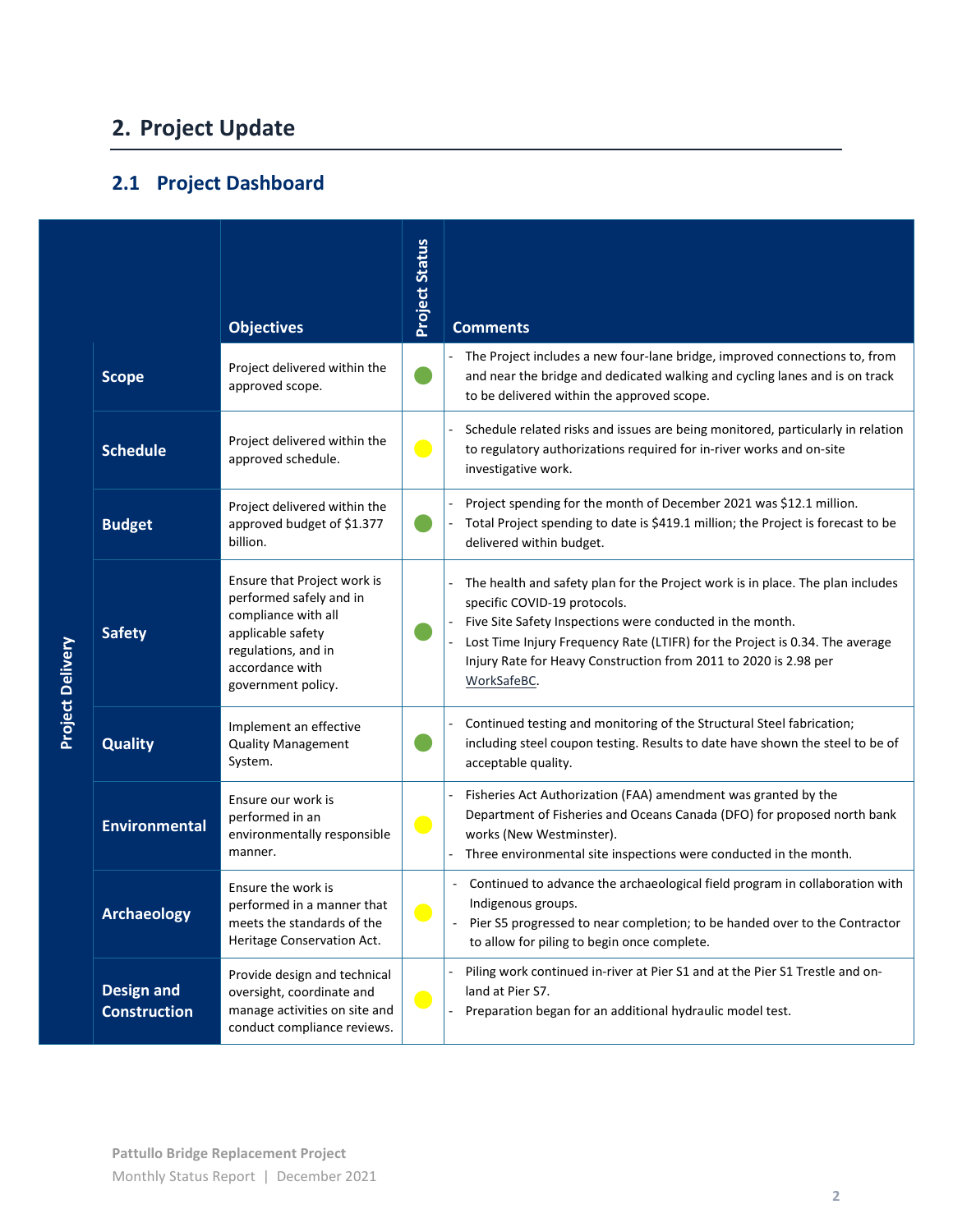# **2. Project Update**

## **2.1 Project Dashboard**

|                         |                                          | <b>Objectives</b>                                                                                                                                                  | <b>Project Status</b>       | <b>Comments</b>                                                                                                                                                                                                                                                                                                                                |
|-------------------------|------------------------------------------|--------------------------------------------------------------------------------------------------------------------------------------------------------------------|-----------------------------|------------------------------------------------------------------------------------------------------------------------------------------------------------------------------------------------------------------------------------------------------------------------------------------------------------------------------------------------|
|                         | <b>Scope</b>                             | Project delivered within the<br>approved scope.                                                                                                                    |                             | The Project includes a new four-lane bridge, improved connections to, from<br>and near the bridge and dedicated walking and cycling lanes and is on track<br>to be delivered within the approved scope.                                                                                                                                        |
|                         | <b>Schedule</b>                          | Project delivered within the<br>approved schedule.                                                                                                                 | $\bullet$                   | Schedule related risks and issues are being monitored, particularly in relation<br>to regulatory authorizations required for in-river works and on-site<br>investigative work.                                                                                                                                                                 |
|                         | <b>Budget</b>                            | Project delivered within the<br>approved budget of \$1.377<br>billion.                                                                                             |                             | Project spending for the month of December 2021 was \$12.1 million.<br>Total Project spending to date is \$419.1 million; the Project is forecast to be<br>delivered within budget.                                                                                                                                                            |
| <b>Project Delivery</b> | <b>Safety</b>                            | Ensure that Project work is<br>performed safely and in<br>compliance with all<br>applicable safety<br>regulations, and in<br>accordance with<br>government policy. |                             | The health and safety plan for the Project work is in place. The plan includes<br>specific COVID-19 protocols.<br>Five Site Safety Inspections were conducted in the month.<br>Lost Time Injury Frequency Rate (LTIFR) for the Project is 0.34. The average<br>Injury Rate for Heavy Construction from 2011 to 2020 is 2.98 per<br>WorkSafeBC. |
|                         | <b>Quality</b>                           | Implement an effective<br><b>Quality Management</b><br>System.                                                                                                     |                             | Continued testing and monitoring of the Structural Steel fabrication;<br>including steel coupon testing. Results to date have shown the steel to be of<br>acceptable quality.                                                                                                                                                                  |
|                         | <b>Environmental</b>                     | Ensure our work is<br>performed in an<br>environmentally responsible<br>manner.                                                                                    | $\mathcal{L}^{\mathcal{L}}$ | Fisheries Act Authorization (FAA) amendment was granted by the<br>Department of Fisheries and Oceans Canada (DFO) for proposed north bank<br>works (New Westminster).<br>Three environmental site inspections were conducted in the month.                                                                                                     |
|                         | <b>Archaeology</b>                       | Ensure the work is<br>performed in a manner that<br>meets the standards of the<br>Heritage Conservation Act.                                                       |                             | Continued to advance the archaeological field program in collaboration with<br>Indigenous groups.<br>Pier S5 progressed to near completion; to be handed over to the Contractor<br>to allow for piling to begin once complete.                                                                                                                 |
|                         | <b>Design and</b><br><b>Construction</b> | Provide design and technical<br>oversight, coordinate and<br>manage activities on site and<br>conduct compliance reviews.                                          | $\bullet$                   | Piling work continued in-river at Pier S1 and at the Pier S1 Trestle and on-<br>land at Pier S7.<br>Preparation began for an additional hydraulic model test.                                                                                                                                                                                  |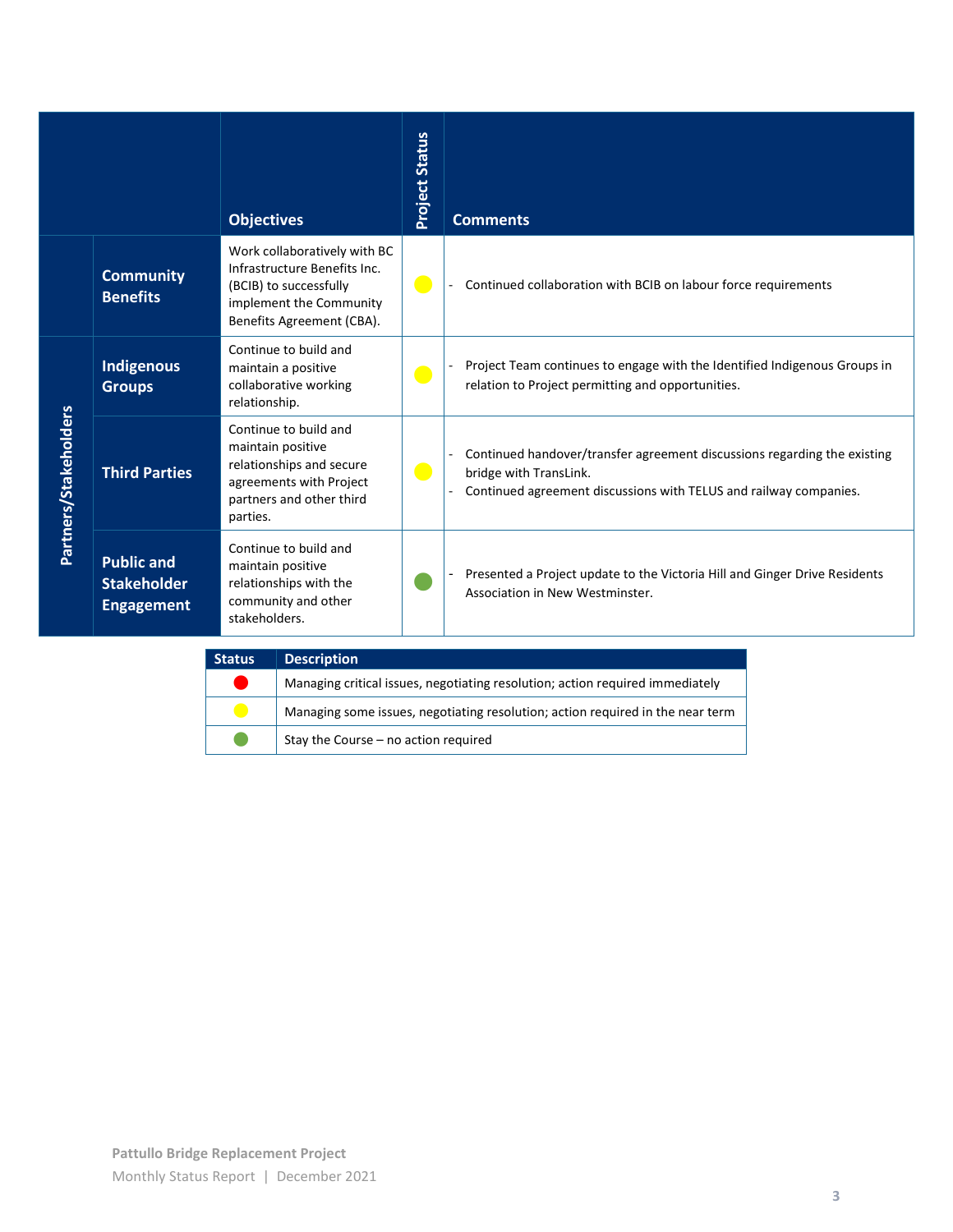|                       |                                                              | <b>Objectives</b>                                                                                                                              | <b>Project Status</b> | <b>Comments</b>                                                                                                                                                         |
|-----------------------|--------------------------------------------------------------|------------------------------------------------------------------------------------------------------------------------------------------------|-----------------------|-------------------------------------------------------------------------------------------------------------------------------------------------------------------------|
|                       | <b>Community</b><br><b>Benefits</b>                          | Work collaboratively with BC<br>Infrastructure Benefits Inc.<br>(BCIB) to successfully<br>implement the Community<br>Benefits Agreement (CBA). | $\bullet$             | Continued collaboration with BCIB on labour force requirements                                                                                                          |
|                       | <b>Indigenous</b><br><b>Groups</b>                           | Continue to build and<br>maintain a positive<br>collaborative working<br>relationship.                                                         | $\bullet$             | Project Team continues to engage with the Identified Indigenous Groups in<br>relation to Project permitting and opportunities.                                          |
| Partners/Stakeholders | <b>Third Parties</b>                                         | Continue to build and<br>maintain positive<br>relationships and secure<br>agreements with Project<br>partners and other third<br>parties.      | $\bullet$             | Continued handover/transfer agreement discussions regarding the existing<br>bridge with TransLink.<br>Continued agreement discussions with TELUS and railway companies. |
|                       | <b>Public and</b><br><b>Stakeholder</b><br><b>Engagement</b> | Continue to build and<br>maintain positive<br>relationships with the<br>community and other<br>stakeholders.                                   |                       | Presented a Project update to the Victoria Hill and Ginger Drive Residents<br>Association in New Westminster.                                                           |

| <b>Status</b> | <b>Description</b>                                                             |
|---------------|--------------------------------------------------------------------------------|
|               | Managing critical issues, negotiating resolution; action required immediately  |
|               | Managing some issues, negotiating resolution; action required in the near term |
|               | Stay the Course - no action required                                           |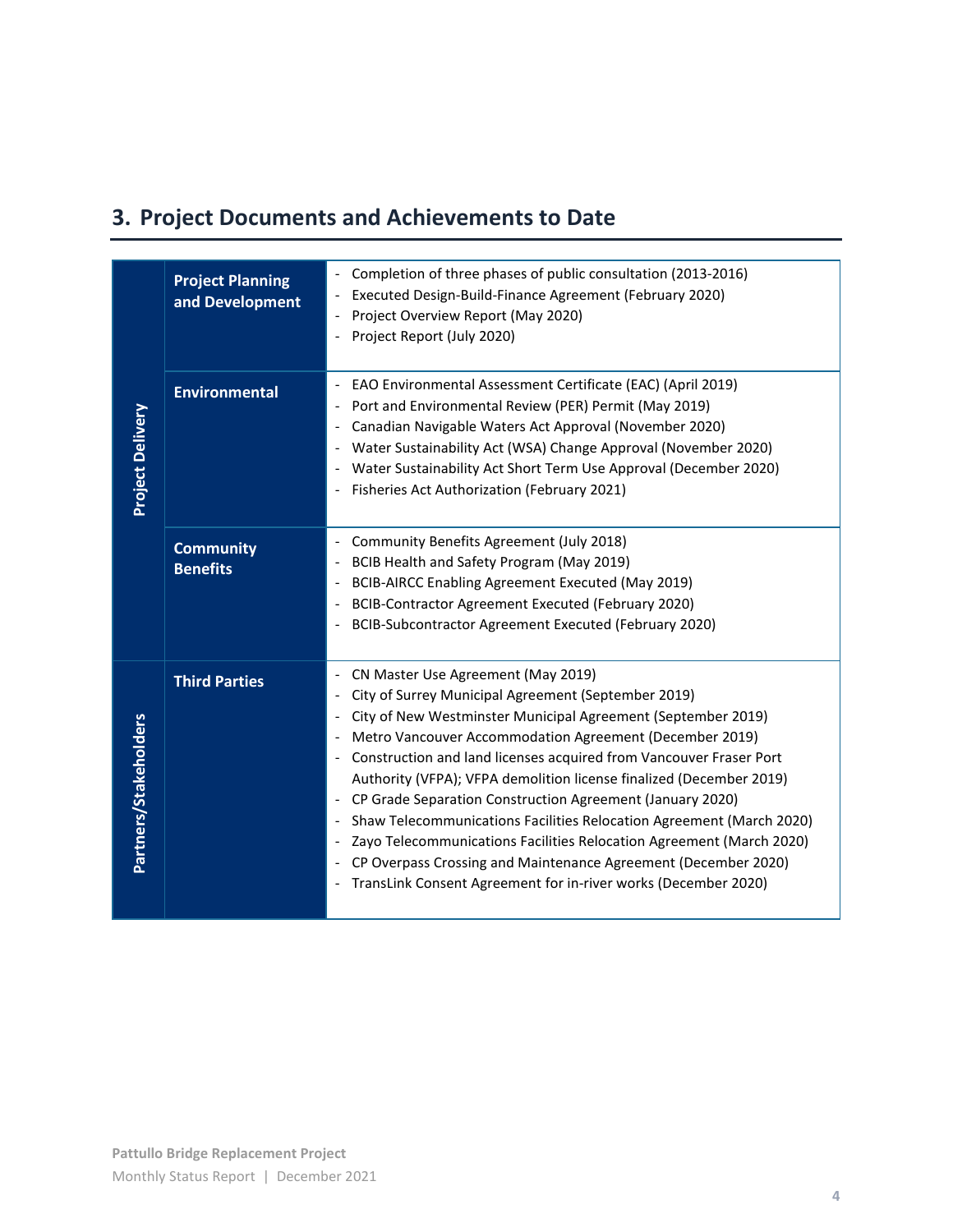# **3. Project Documents and Achievements to Date**

| <b>Project Planning</b><br>and Development | Completion of three phases of public consultation (2013-2016)<br>Executed Design-Build-Finance Agreement (February 2020)<br>Project Overview Report (May 2020)<br>Project Report (July 2020)                                                                                                                                                                                                                                                                                                                                                                                                                                                                                                                                                                               |
|--------------------------------------------|----------------------------------------------------------------------------------------------------------------------------------------------------------------------------------------------------------------------------------------------------------------------------------------------------------------------------------------------------------------------------------------------------------------------------------------------------------------------------------------------------------------------------------------------------------------------------------------------------------------------------------------------------------------------------------------------------------------------------------------------------------------------------|
| <b>Environmental</b>                       | EAO Environmental Assessment Certificate (EAC) (April 2019)<br>Port and Environmental Review (PER) Permit (May 2019)<br>Canadian Navigable Waters Act Approval (November 2020)<br>Water Sustainability Act (WSA) Change Approval (November 2020)<br>Water Sustainability Act Short Term Use Approval (December 2020)<br>Fisheries Act Authorization (February 2021)                                                                                                                                                                                                                                                                                                                                                                                                        |
| <b>Community</b><br><b>Benefits</b>        | Community Benefits Agreement (July 2018)<br>$\overline{\phantom{a}}$<br>BCIB Health and Safety Program (May 2019)<br>BCIB-AIRCC Enabling Agreement Executed (May 2019)<br>$\overline{\phantom{a}}$<br>BCIB-Contractor Agreement Executed (February 2020)<br>$\overline{\phantom{a}}$<br>BCIB-Subcontractor Agreement Executed (February 2020)<br>$\overline{\phantom{a}}$                                                                                                                                                                                                                                                                                                                                                                                                  |
| <b>Third Parties</b>                       | CN Master Use Agreement (May 2019)<br>City of Surrey Municipal Agreement (September 2019)<br>$\overline{\phantom{a}}$<br>City of New Westminster Municipal Agreement (September 2019)<br>Metro Vancouver Accommodation Agreement (December 2019)<br>Construction and land licenses acquired from Vancouver Fraser Port<br>Authority (VFPA); VFPA demolition license finalized (December 2019)<br>CP Grade Separation Construction Agreement (January 2020)<br>Shaw Telecommunications Facilities Relocation Agreement (March 2020)<br>$\overline{\phantom{a}}$<br>Zayo Telecommunications Facilities Relocation Agreement (March 2020)<br>CP Overpass Crossing and Maintenance Agreement (December 2020)<br>TransLink Consent Agreement for in-river works (December 2020) |
|                                            |                                                                                                                                                                                                                                                                                                                                                                                                                                                                                                                                                                                                                                                                                                                                                                            |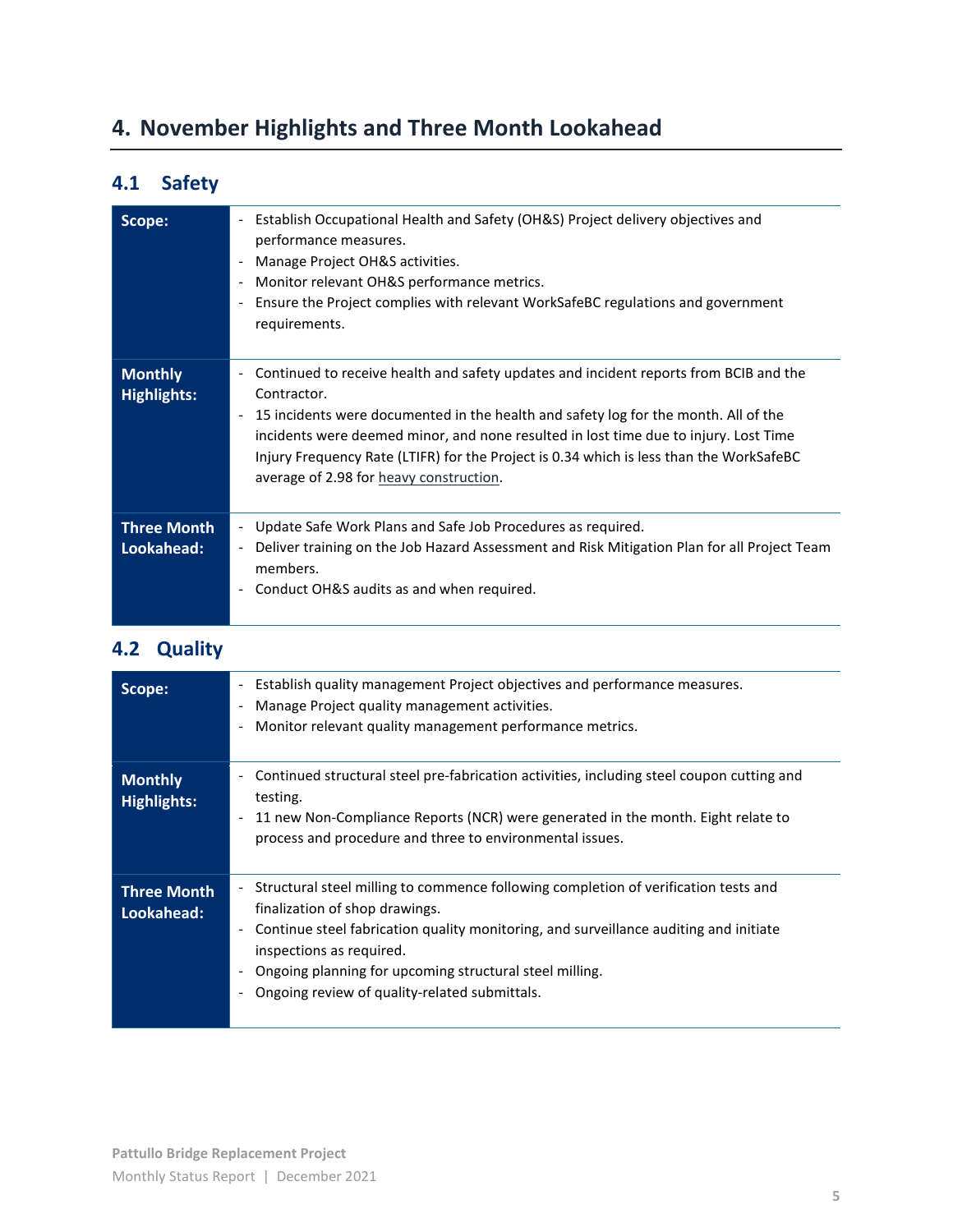# **4. November Highlights and Three Month Lookahead**

## **4.1 Safety**

| Scope:                               | Establish Occupational Health and Safety (OH&S) Project delivery objectives and<br>$\overline{\phantom{a}}$<br>performance measures.<br>Manage Project OH&S activities.<br>Monitor relevant OH&S performance metrics.<br>$\overline{\phantom{a}}$<br>Ensure the Project complies with relevant WorkSafeBC regulations and government<br>$\overline{\phantom{a}}$<br>requirements.                                                                                                 |
|--------------------------------------|-----------------------------------------------------------------------------------------------------------------------------------------------------------------------------------------------------------------------------------------------------------------------------------------------------------------------------------------------------------------------------------------------------------------------------------------------------------------------------------|
| <b>Monthly</b><br><b>Highlights:</b> | Continued to receive health and safety updates and incident reports from BCIB and the<br>$\overline{\phantom{a}}$<br>Contractor.<br>15 incidents were documented in the health and safety log for the month. All of the<br>$\overline{\phantom{a}}$<br>incidents were deemed minor, and none resulted in lost time due to injury. Lost Time<br>Injury Frequency Rate (LTIFR) for the Project is 0.34 which is less than the WorkSafeBC<br>average of 2.98 for heavy construction. |
| <b>Three Month</b><br>Lookahead:     | Update Safe Work Plans and Safe Job Procedures as required.<br>$\blacksquare$<br>Deliver training on the Job Hazard Assessment and Risk Mitigation Plan for all Project Team<br>$\overline{\phantom{a}}$<br>members.<br>Conduct OH&S audits as and when required.<br>$\overline{\phantom{a}}$                                                                                                                                                                                     |

#### **4.2 Quality**

| Scope:                               | Establish quality management Project objectives and performance measures.<br>$\overline{\phantom{0}}$<br>Manage Project quality management activities.<br>Monitor relevant quality management performance metrics.<br>-                                                                                                                                                           |
|--------------------------------------|-----------------------------------------------------------------------------------------------------------------------------------------------------------------------------------------------------------------------------------------------------------------------------------------------------------------------------------------------------------------------------------|
| <b>Monthly</b><br><b>Highlights:</b> | Continued structural steel pre-fabrication activities, including steel coupon cutting and<br>testing.<br>11 new Non-Compliance Reports (NCR) were generated in the month. Eight relate to<br>$\overline{\phantom{a}}$<br>process and procedure and three to environmental issues.                                                                                                 |
| <b>Three Month</b><br>Lookahead:     | Structural steel milling to commence following completion of verification tests and<br>$ \,$<br>finalization of shop drawings.<br>Continue steel fabrication quality monitoring, and surveillance auditing and initiate<br>$\blacksquare$<br>inspections as required.<br>Ongoing planning for upcoming structural steel milling.<br>Ongoing review of quality-related submittals. |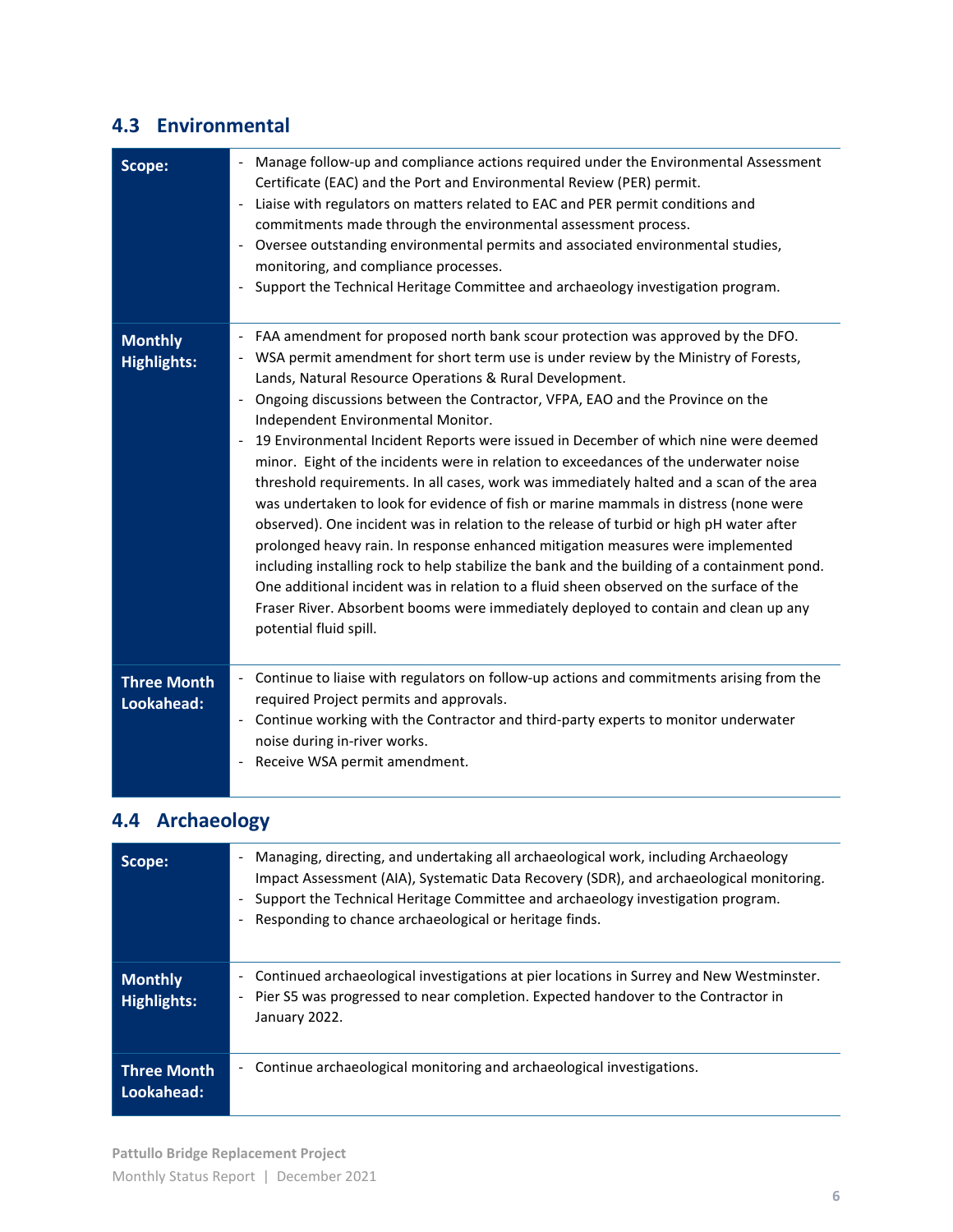#### **4.3 Environmental**

| Scope:                               | Manage follow-up and compliance actions required under the Environmental Assessment<br>Certificate (EAC) and the Port and Environmental Review (PER) permit.<br>Liaise with regulators on matters related to EAC and PER permit conditions and<br>$\overline{\phantom{a}}$<br>commitments made through the environmental assessment process.<br>Oversee outstanding environmental permits and associated environmental studies,<br>$\blacksquare$<br>monitoring, and compliance processes.<br>Support the Technical Heritage Committee and archaeology investigation program.<br>$\overline{\phantom{a}}$                                                                                                                                                                                                                                                                                                                                                                                                                                                                                                                                                                                                                                |
|--------------------------------------|------------------------------------------------------------------------------------------------------------------------------------------------------------------------------------------------------------------------------------------------------------------------------------------------------------------------------------------------------------------------------------------------------------------------------------------------------------------------------------------------------------------------------------------------------------------------------------------------------------------------------------------------------------------------------------------------------------------------------------------------------------------------------------------------------------------------------------------------------------------------------------------------------------------------------------------------------------------------------------------------------------------------------------------------------------------------------------------------------------------------------------------------------------------------------------------------------------------------------------------|
| <b>Monthly</b><br><b>Highlights:</b> | FAA amendment for proposed north bank scour protection was approved by the DFO.<br>WSA permit amendment for short term use is under review by the Ministry of Forests,<br>Lands, Natural Resource Operations & Rural Development.<br>Ongoing discussions between the Contractor, VFPA, EAO and the Province on the<br>$\blacksquare$<br>Independent Environmental Monitor.<br>19 Environmental Incident Reports were issued in December of which nine were deemed<br>minor. Eight of the incidents were in relation to exceedances of the underwater noise<br>threshold requirements. In all cases, work was immediately halted and a scan of the area<br>was undertaken to look for evidence of fish or marine mammals in distress (none were<br>observed). One incident was in relation to the release of turbid or high pH water after<br>prolonged heavy rain. In response enhanced mitigation measures were implemented<br>including installing rock to help stabilize the bank and the building of a containment pond.<br>One additional incident was in relation to a fluid sheen observed on the surface of the<br>Fraser River. Absorbent booms were immediately deployed to contain and clean up any<br>potential fluid spill. |
| <b>Three Month</b><br>Lookahead:     | Continue to liaise with regulators on follow-up actions and commitments arising from the<br>$\sim$<br>required Project permits and approvals.<br>Continue working with the Contractor and third-party experts to monitor underwater<br>$\sim$<br>noise during in-river works.<br>Receive WSA permit amendment.                                                                                                                                                                                                                                                                                                                                                                                                                                                                                                                                                                                                                                                                                                                                                                                                                                                                                                                           |

## **4.4 Archaeology**

| Scope:                               | Managing, directing, and undertaking all archaeological work, including Archaeology<br>$\overline{\phantom{a}}$<br>Impact Assessment (AIA), Systematic Data Recovery (SDR), and archaeological monitoring.<br>Support the Technical Heritage Committee and archaeology investigation program.<br>$\qquad \qquad \blacksquare$<br>Responding to chance archaeological or heritage finds. |
|--------------------------------------|-----------------------------------------------------------------------------------------------------------------------------------------------------------------------------------------------------------------------------------------------------------------------------------------------------------------------------------------------------------------------------------------|
| <b>Monthly</b><br><b>Highlights:</b> | Continued archaeological investigations at pier locations in Surrey and New Westminster.<br>-<br>Pier S5 was progressed to near completion. Expected handover to the Contractor in<br>January 2022.                                                                                                                                                                                     |
| <b>Three Month</b><br>Lookahead:     | Continue archaeological monitoring and archaeological investigations.<br>$\overline{\phantom{a}}$                                                                                                                                                                                                                                                                                       |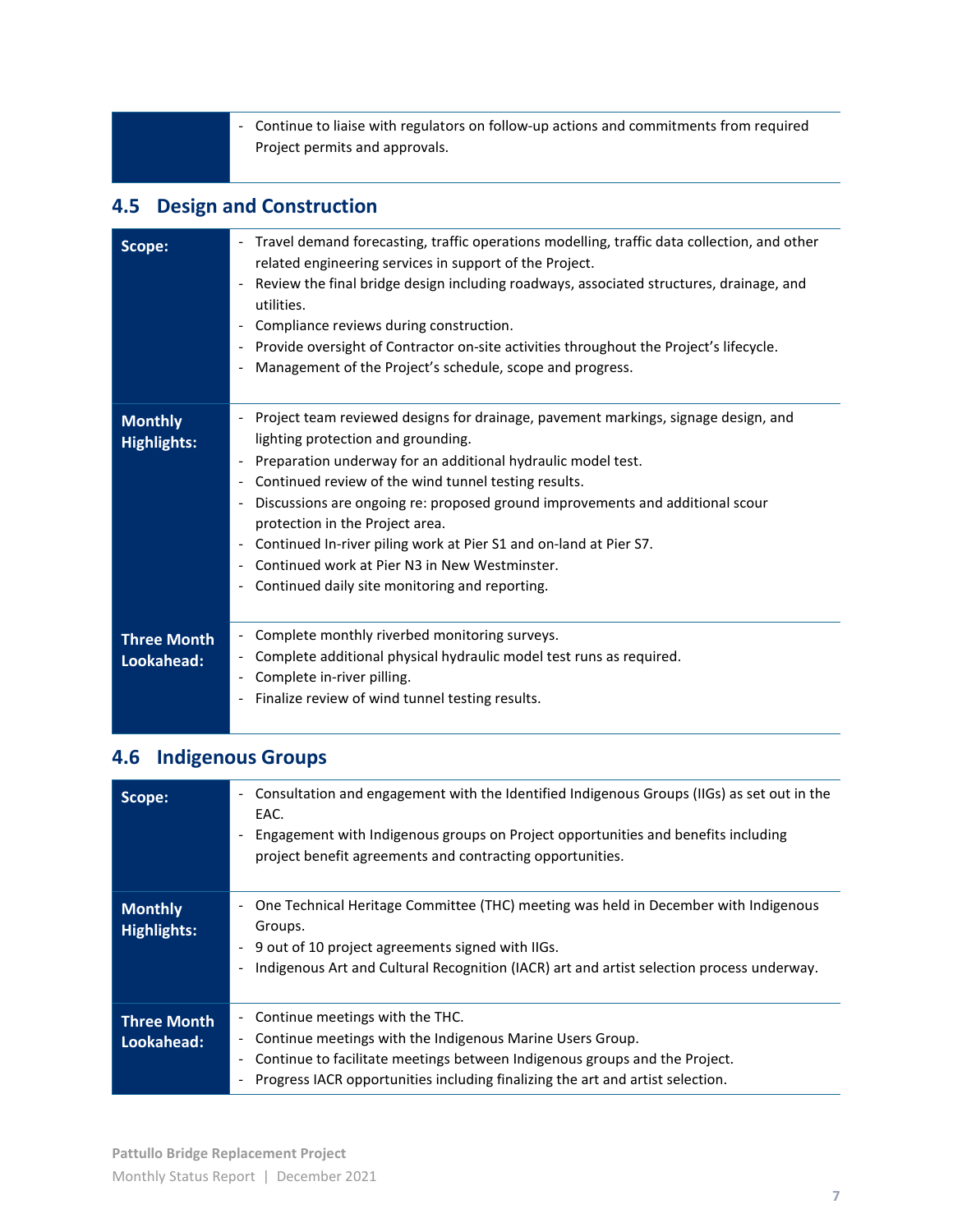- Continue to liaise with regulators on follow-up actions and commitments from required Project permits and approvals.

#### **4.5 Design and Construction**

| Scope:                               | Travel demand forecasting, traffic operations modelling, traffic data collection, and other<br>$\overline{\phantom{a}}$<br>related engineering services in support of the Project.<br>Review the final bridge design including roadways, associated structures, drainage, and<br>utilities.<br>Compliance reviews during construction.<br>Provide oversight of Contractor on-site activities throughout the Project's lifecycle.<br>Management of the Project's schedule, scope and progress.                                                                            |
|--------------------------------------|--------------------------------------------------------------------------------------------------------------------------------------------------------------------------------------------------------------------------------------------------------------------------------------------------------------------------------------------------------------------------------------------------------------------------------------------------------------------------------------------------------------------------------------------------------------------------|
| <b>Monthly</b><br><b>Highlights:</b> | Project team reviewed designs for drainage, pavement markings, signage design, and<br>lighting protection and grounding.<br>Preparation underway for an additional hydraulic model test.<br>Continued review of the wind tunnel testing results.<br>Discussions are ongoing re: proposed ground improvements and additional scour<br>protection in the Project area.<br>Continued In-river piling work at Pier S1 and on-land at Pier S7.<br>$\overline{\phantom{a}}$<br>Continued work at Pier N3 in New Westminster.<br>Continued daily site monitoring and reporting. |
| <b>Three Month</b><br>Lookahead:     | Complete monthly riverbed monitoring surveys.<br>$\overline{\phantom{a}}$<br>Complete additional physical hydraulic model test runs as required.<br>$\overline{\phantom{0}}$<br>Complete in-river pilling.<br>Finalize review of wind tunnel testing results.                                                                                                                                                                                                                                                                                                            |

## **4.6 Indigenous Groups**

| Scope:                           | Consultation and engagement with the Identified Indigenous Groups (IIGs) as set out in the<br>$\overline{\phantom{0}}$<br>EAC.<br>Engagement with Indigenous groups on Project opportunities and benefits including<br>project benefit agreements and contracting opportunities.                   |
|----------------------------------|----------------------------------------------------------------------------------------------------------------------------------------------------------------------------------------------------------------------------------------------------------------------------------------------------|
| <b>Monthly</b><br>Highlights:    | One Technical Heritage Committee (THC) meeting was held in December with Indigenous<br>Groups.<br>9 out of 10 project agreements signed with IIGs.<br>$\overline{\phantom{0}}$<br>Indigenous Art and Cultural Recognition (IACR) art and artist selection process underway.                        |
| <b>Three Month</b><br>Lookahead: | Continue meetings with the THC.<br>$\sim$<br>Continue meetings with the Indigenous Marine Users Group.<br>Continue to facilitate meetings between Indigenous groups and the Project.<br>$\overline{\phantom{0}}$<br>Progress IACR opportunities including finalizing the art and artist selection. |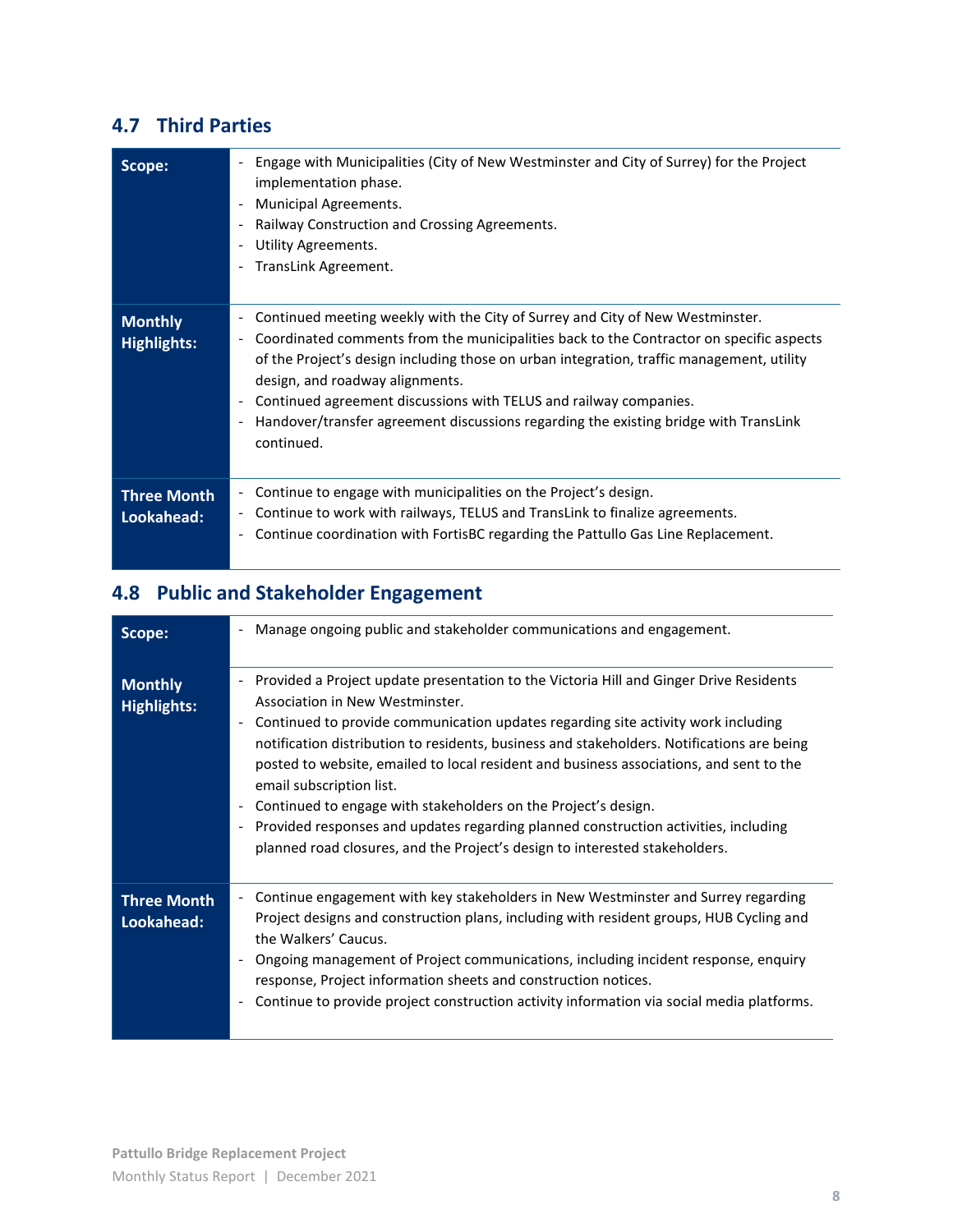#### **4.7 Third Parties**

| Scope:                               | Engage with Municipalities (City of New Westminster and City of Surrey) for the Project<br>implementation phase.<br>Municipal Agreements.<br>Railway Construction and Crossing Agreements.<br>Utility Agreements.<br>TransLink Agreement.                                                                                                                                                                                                                                                |
|--------------------------------------|------------------------------------------------------------------------------------------------------------------------------------------------------------------------------------------------------------------------------------------------------------------------------------------------------------------------------------------------------------------------------------------------------------------------------------------------------------------------------------------|
| <b>Monthly</b><br><b>Highlights:</b> | Continued meeting weekly with the City of Surrey and City of New Westminster.<br>Coordinated comments from the municipalities back to the Contractor on specific aspects<br>-<br>of the Project's design including those on urban integration, traffic management, utility<br>design, and roadway alignments.<br>Continued agreement discussions with TELUS and railway companies.<br>Handover/transfer agreement discussions regarding the existing bridge with TransLink<br>continued. |
| Three Month<br>Lookahead:            | Continue to engage with municipalities on the Project's design.<br>Ξ.<br>Continue to work with railways, TELUS and TransLink to finalize agreements.<br>۰<br>Continue coordination with FortisBC regarding the Pattullo Gas Line Replacement.                                                                                                                                                                                                                                            |

# **4.8 Public and Stakeholder Engagement**

| Scope:                               | Manage ongoing public and stakeholder communications and engagement.                                                                                                                                                                                                                                                                                                                                                                                                                                                                                                                                                                                                                                    |
|--------------------------------------|---------------------------------------------------------------------------------------------------------------------------------------------------------------------------------------------------------------------------------------------------------------------------------------------------------------------------------------------------------------------------------------------------------------------------------------------------------------------------------------------------------------------------------------------------------------------------------------------------------------------------------------------------------------------------------------------------------|
| <b>Monthly</b><br><b>Highlights:</b> | Provided a Project update presentation to the Victoria Hill and Ginger Drive Residents<br>Association in New Westminster.<br>Continued to provide communication updates regarding site activity work including<br>notification distribution to residents, business and stakeholders. Notifications are being<br>posted to website, emailed to local resident and business associations, and sent to the<br>email subscription list.<br>Continued to engage with stakeholders on the Project's design.<br>Provided responses and updates regarding planned construction activities, including<br>$\overline{\phantom{a}}$<br>planned road closures, and the Project's design to interested stakeholders. |
| <b>Three Month</b><br>Lookahead:     | Continue engagement with key stakeholders in New Westminster and Surrey regarding<br>Project designs and construction plans, including with resident groups, HUB Cycling and<br>the Walkers' Caucus.<br>Ongoing management of Project communications, including incident response, enguiry<br>response, Project information sheets and construction notices.<br>Continue to provide project construction activity information via social media platforms.                                                                                                                                                                                                                                               |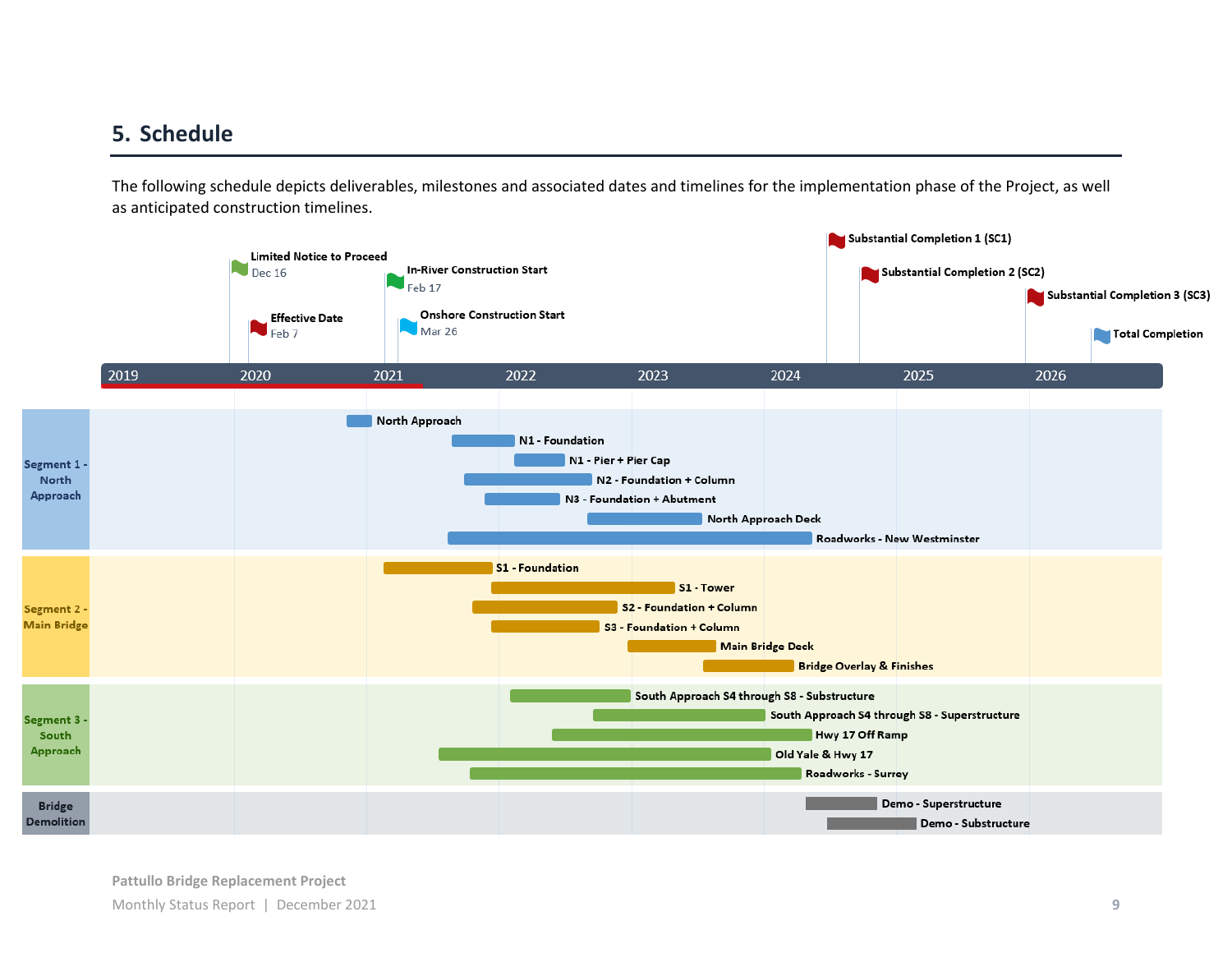### **5. Schedule**

The following schedule depicts deliverables, milestones and associated dates and timelines for the implementation phase of the Project, as well as anticipated construction timelines.

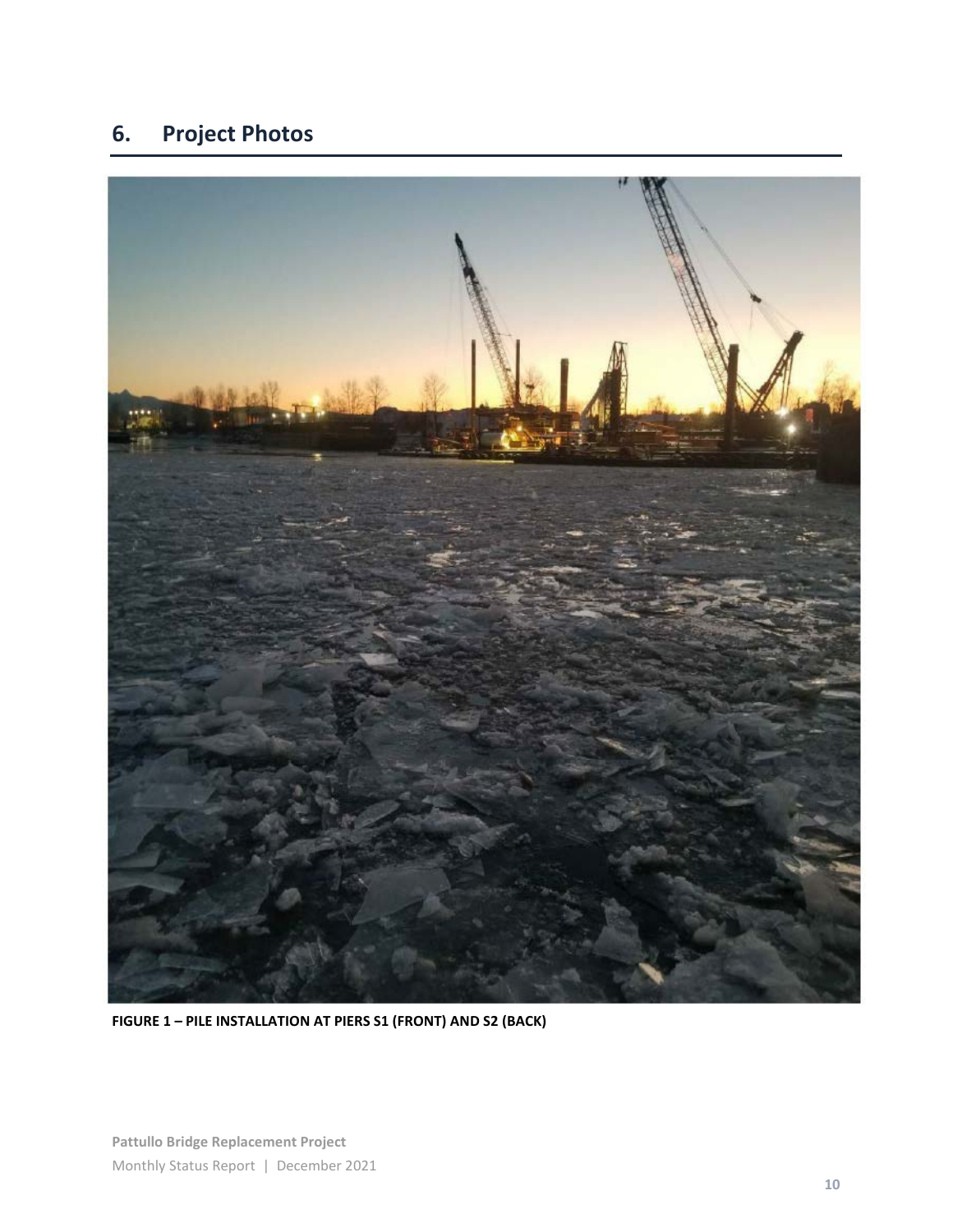# **6. Project Photos**



**FIGURE 1 – PILE INSTALLATION AT PIERS S1 (FRONT) AND S2 (BACK)**